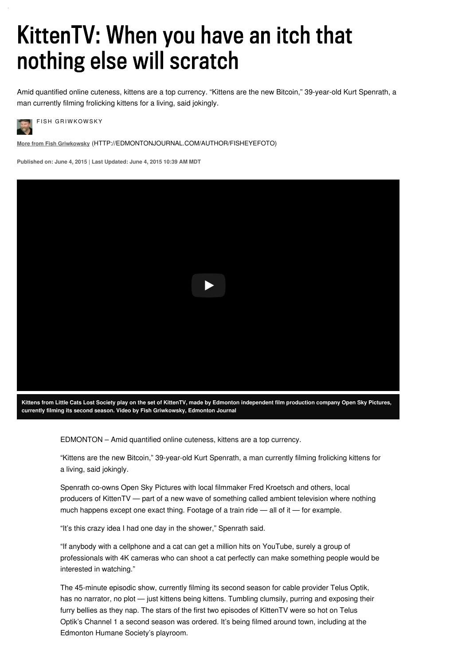# KittenTV: When you have an itch that nothing else will scratch

Amid quantified online cuteness, kittens are a top currency. "Kittens are the new Bitcoin," 39-year-old Kurt Spenrath, a man currently filming frolicking kittens for a living, said jokingly.

**FISH GRIWKOWSKY** 

**More from Fish Griwkowsky** [\(HTTP://EDMONTONJOURNAL.COM/AUTHOR/FISHEYEFOTO\)](http://edmontonjournal.com/author/fisheyefoto)

**Published on: June 4, 2015 | Last Updated: June 4, 2015 10:39 AM MDT**



Kittens from Little Cats Lost Society play on the set of KittenTV, made by Edmonton independent film production company Open Sky Pictures, **currently filming its second season. Video by Fish Griwkowsky, Edmonton Journal**

EDMONTON – Amid quantified online cuteness, kittens are a top currency.

"Kittens are the new Bitcoin," 39-year-old Kurt Spenrath, a man currently filming frolicking kittens for a living, said jokingly.

Spenrath co-owns Open Sky Pictures with local filmmaker Fred Kroetsch and others, local producers of KittenTV — part of a new wave of something called ambient television where nothing much happens except one exact thing. Footage of a train ride — all of it — for example.

"It's this crazy idea I had one day in the shower," Spenrath said.

"If anybody with a cellphone and a cat can get a million hits on YouTube, surely a group of professionals with 4K cameras who can shoot a cat perfectly can make something people would be interested in watching."

The 45-minute episodic show, currently filming its second season for cable provider Telus Optik, has no narrator, no plot — just kittens being kittens. Tumbling clumsily, purring and exposing their furry bellies as they nap. The stars of the first two episodes of KittenTV were so hot on Telus Optik's Channel 1 a second season was ordered. It's being filmed around town, including at the Edmonton Humane Society's playroom.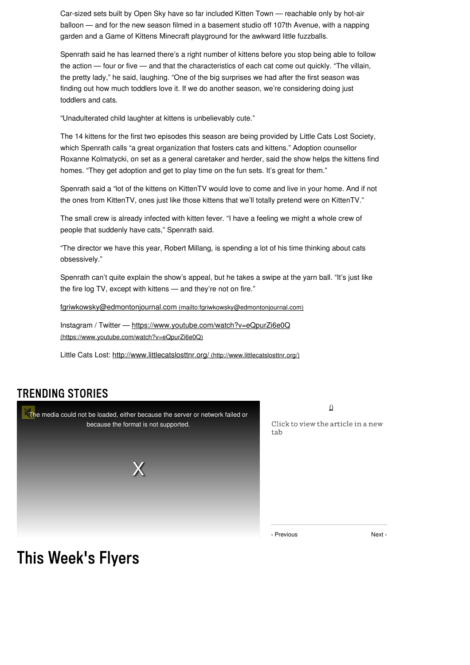Car-sized sets built by Open Sky have so far included Kitten Town — reachable only by hot-air balloon — and for the new season filmed in a basement studio off 107th Avenue, with a napping garden and a Game of Kittens Minecraft playground for the awkward little fuzzballs.

Spenrath said he has learned there's a right number of kittens before you stop being able to follow the action — four or five — and that the characteristics of each cat come out quickly. "The villain, the pretty lady," he said, laughing. "One of the big surprises we had after the first season was finding out how much toddlers love it. If we do another season, we're considering doing just toddlers and cats.

"Unadulterated child laughter at kittens is unbelievably cute."

The 14 kittens for the first two episodes this season are being provided by Little Cats Lost Society, which Spenrath calls "a great organization that fosters cats and kittens." Adoption counsellor Roxanne Kolmatycki, on set as a general caretaker and herder, said the show helps the kittens find homes. "They get adoption and get to play time on the fun sets. It's great for them."

Spenrath said a "lot of the kittens on KittenTV would love to come and live in your home. And if not the ones from KittenTV, ones just like those kittens that we'll totally pretend were on KittenTV."

The small crew is already infected with kitten fever. "I have a feeling we might a whole crew of people that suddenly have cats," Spenrath said.

"The director we have this year, Robert Millang, is spending a lot of his time thinking about cats obsessively."

Spenrath can't quite explain the show's appeal, but he takes a swipe at the yarn ball. "It's just like the fire log TV, except with kittens — and they're not on fire."

[fgriwkowsky@edmontonjournal.com](mailto:fgriwkowsky@edmontonjournal.com) (mailto:fgriwkowsky@edmontonjournal.com)

Instagram / Twitter — <https://www.youtube.com/watch?v=eQpurZi6e0Q> (https://www.youtube.com/watch?v=eQpurZi6e0Q)

Little Cats Lost: <http://www.littlecatslosttnr.org/> (http://www.littlecatslosttnr.org/)

#### **TRENDING STORIES**



 $\Omega$ 

Click to view the article in a new  $tab$ 

‹ Previous Next ›

### This Week's Flyers